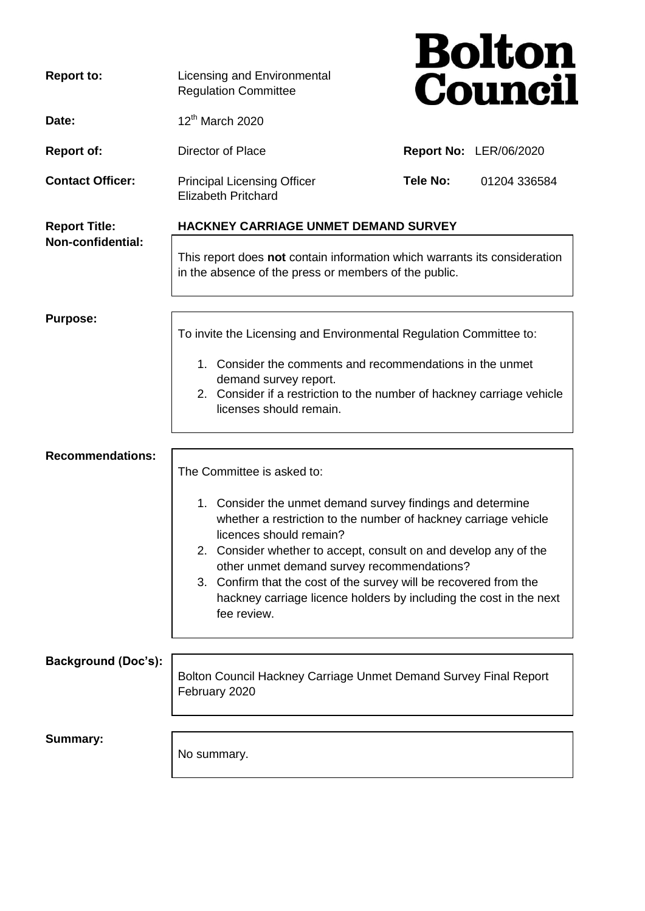| <b>Report to:</b>                         | Licensing and Environmental<br><b>Regulation Committee</b>                                                                                                                                                                                                 |                 | <b>Bolton<br/>Council</b>     |
|-------------------------------------------|------------------------------------------------------------------------------------------------------------------------------------------------------------------------------------------------------------------------------------------------------------|-----------------|-------------------------------|
| Date:                                     | 12 <sup>th</sup> March 2020                                                                                                                                                                                                                                |                 |                               |
| <b>Report of:</b>                         | <b>Director of Place</b>                                                                                                                                                                                                                                   |                 | <b>Report No: LER/06/2020</b> |
| <b>Contact Officer:</b>                   | <b>Principal Licensing Officer</b><br><b>Elizabeth Pritchard</b>                                                                                                                                                                                           | <b>Tele No:</b> | 01204 336584                  |
| <b>Report Title:</b><br>Non-confidential: | <b>HACKNEY CARRIAGE UNMET DEMAND SURVEY</b>                                                                                                                                                                                                                |                 |                               |
|                                           | This report does not contain information which warrants its consideration<br>in the absence of the press or members of the public.                                                                                                                         |                 |                               |
| <b>Purpose:</b>                           |                                                                                                                                                                                                                                                            |                 |                               |
|                                           | To invite the Licensing and Environmental Regulation Committee to:                                                                                                                                                                                         |                 |                               |
|                                           | 1. Consider the comments and recommendations in the unmet<br>demand survey report.                                                                                                                                                                         |                 |                               |
|                                           | 2. Consider if a restriction to the number of hackney carriage vehicle<br>licenses should remain.                                                                                                                                                          |                 |                               |
| <b>Recommendations:</b>                   |                                                                                                                                                                                                                                                            |                 |                               |
|                                           | The Committee is asked to:<br>1. Consider the unmet demand survey findings and determine<br>whether a restriction to the number of hackney carriage vehicle<br>licences should remain?<br>2. Consider whether to accept, consult on and develop any of the |                 |                               |
|                                           |                                                                                                                                                                                                                                                            |                 |                               |
|                                           |                                                                                                                                                                                                                                                            |                 |                               |
|                                           | other unmet demand survey recommendations?<br>3. Confirm that the cost of the survey will be recovered from the                                                                                                                                            |                 |                               |
|                                           | hackney carriage licence holders by including the cost in the next<br>fee review.                                                                                                                                                                          |                 |                               |
| <b>Background (Doc's):</b>                |                                                                                                                                                                                                                                                            |                 |                               |
|                                           | Bolton Council Hackney Carriage Unmet Demand Survey Final Report<br>February 2020                                                                                                                                                                          |                 |                               |
| <b>Summary:</b>                           |                                                                                                                                                                                                                                                            |                 |                               |
|                                           | No summary.                                                                                                                                                                                                                                                |                 |                               |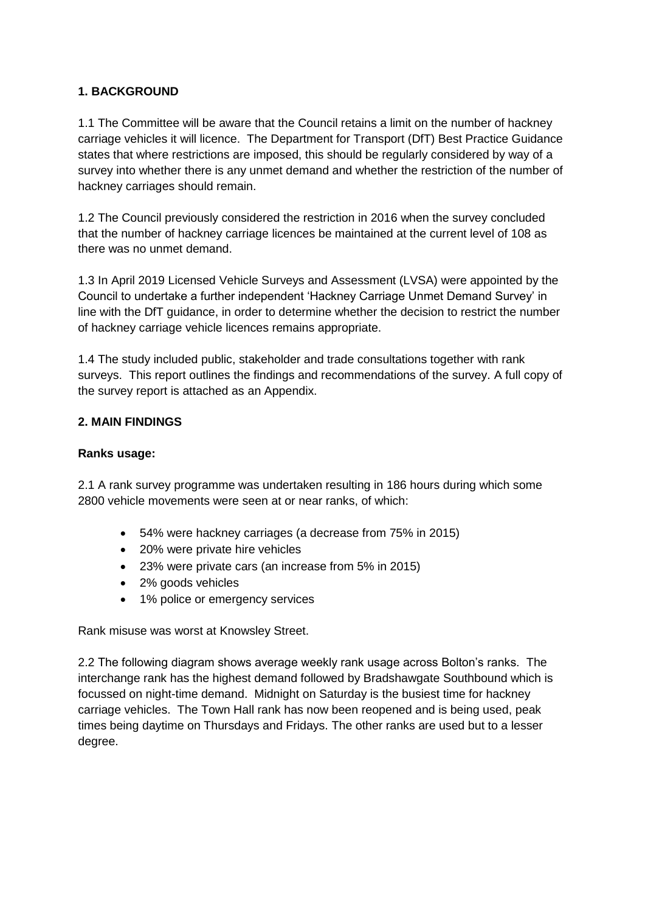# **1. BACKGROUND**

1.1 The Committee will be aware that the Council retains a limit on the number of hackney carriage vehicles it will licence. The Department for Transport (DfT) Best Practice Guidance states that where restrictions are imposed, this should be regularly considered by way of a survey into whether there is any unmet demand and whether the restriction of the number of hackney carriages should remain.

1.2 The Council previously considered the restriction in 2016 when the survey concluded that the number of hackney carriage licences be maintained at the current level of 108 as there was no unmet demand.

1.3 In April 2019 Licensed Vehicle Surveys and Assessment (LVSA) were appointed by the Council to undertake a further independent 'Hackney Carriage Unmet Demand Survey' in line with the DfT guidance, in order to determine whether the decision to restrict the number of hackney carriage vehicle licences remains appropriate.

1.4 The study included public, stakeholder and trade consultations together with rank surveys. This report outlines the findings and recommendations of the survey. A full copy of the survey report is attached as an Appendix.

# **2. MAIN FINDINGS**

#### **Ranks usage:**

2.1 A rank survey programme was undertaken resulting in 186 hours during which some 2800 vehicle movements were seen at or near ranks, of which:

- 54% were hackney carriages (a decrease from 75% in 2015)
- 20% were private hire vehicles
- 23% were private cars (an increase from 5% in 2015)
- 2% goods vehicles
- 1% police or emergency services

Rank misuse was worst at Knowsley Street.

2.2 The following diagram shows average weekly rank usage across Bolton's ranks. The interchange rank has the highest demand followed by Bradshawgate Southbound which is focussed on night-time demand. Midnight on Saturday is the busiest time for hackney carriage vehicles. The Town Hall rank has now been reopened and is being used, peak times being daytime on Thursdays and Fridays. The other ranks are used but to a lesser degree.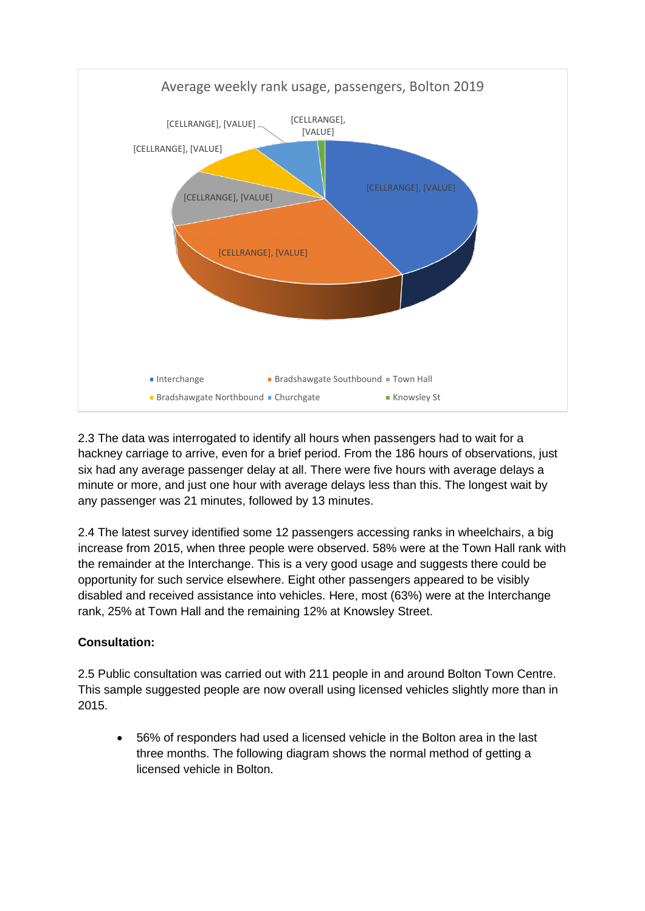

2.3 The data was interrogated to identify all hours when passengers had to wait for a hackney carriage to arrive, even for a brief period. From the 186 hours of observations, just six had any average passenger delay at all. There were five hours with average delays a minute or more, and just one hour with average delays less than this. The longest wait by any passenger was 21 minutes, followed by 13 minutes.

2.4 The latest survey identified some 12 passengers accessing ranks in wheelchairs, a big increase from 2015, when three people were observed. 58% were at the Town Hall rank with the remainder at the Interchange. This is a very good usage and suggests there could be opportunity for such service elsewhere. Eight other passengers appeared to be visibly disabled and received assistance into vehicles. Here, most (63%) were at the Interchange rank, 25% at Town Hall and the remaining 12% at Knowsley Street.

# **Consultation:**

2.5 Public consultation was carried out with 211 people in and around Bolton Town Centre. This sample suggested people are now overall using licensed vehicles slightly more than in 2015.

 56% of responders had used a licensed vehicle in the Bolton area in the last three months. The following diagram shows the normal method of getting a licensed vehicle in Bolton.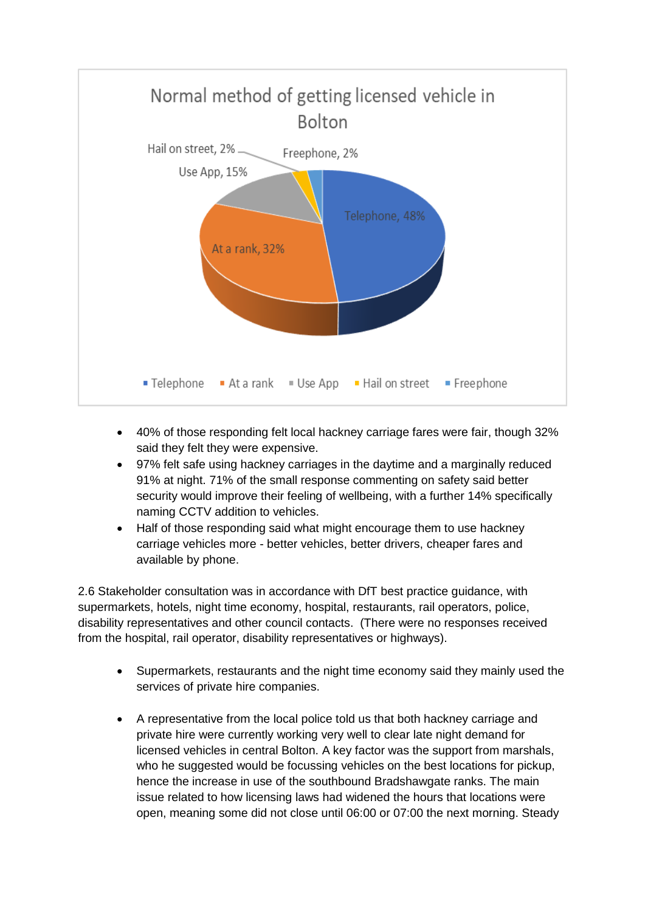

- 40% of those responding felt local hackney carriage fares were fair, though 32% said they felt they were expensive.
- 97% felt safe using hackney carriages in the daytime and a marginally reduced 91% at night. 71% of the small response commenting on safety said better security would improve their feeling of wellbeing, with a further 14% specifically naming CCTV addition to vehicles.
- Half of those responding said what might encourage them to use hackney carriage vehicles more - better vehicles, better drivers, cheaper fares and available by phone.

2.6 Stakeholder consultation was in accordance with DfT best practice guidance, with supermarkets, hotels, night time economy, hospital, restaurants, rail operators, police, disability representatives and other council contacts. (There were no responses received from the hospital, rail operator, disability representatives or highways).

- Supermarkets, restaurants and the night time economy said they mainly used the services of private hire companies.
- A representative from the local police told us that both hackney carriage and private hire were currently working very well to clear late night demand for licensed vehicles in central Bolton. A key factor was the support from marshals, who he suggested would be focussing vehicles on the best locations for pickup, hence the increase in use of the southbound Bradshawgate ranks. The main issue related to how licensing laws had widened the hours that locations were open, meaning some did not close until 06:00 or 07:00 the next morning. Steady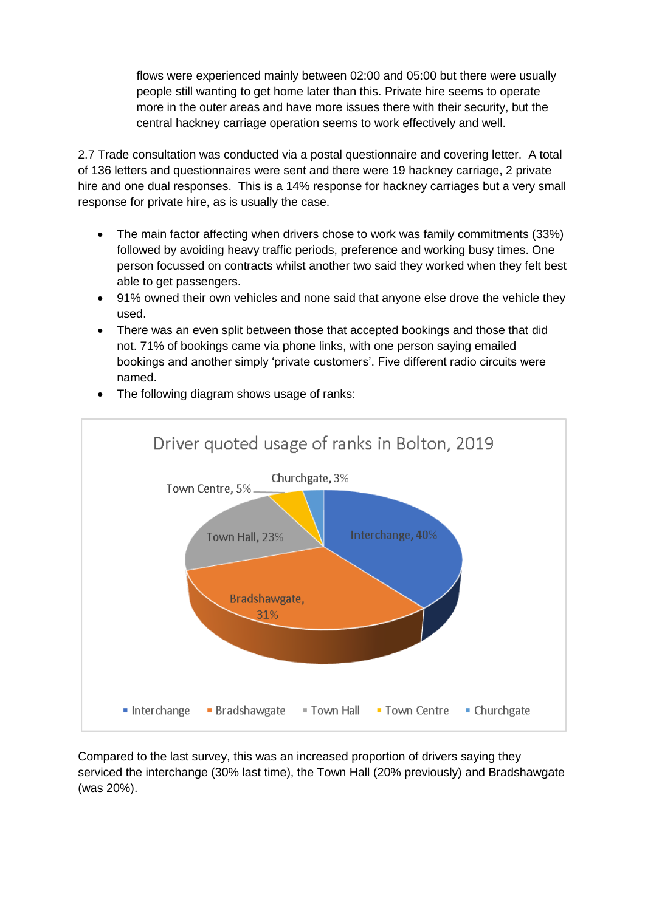flows were experienced mainly between 02:00 and 05:00 but there were usually people still wanting to get home later than this. Private hire seems to operate more in the outer areas and have more issues there with their security, but the central hackney carriage operation seems to work effectively and well.

2.7 Trade consultation was conducted via a postal questionnaire and covering letter. A total of 136 letters and questionnaires were sent and there were 19 hackney carriage, 2 private hire and one dual responses. This is a 14% response for hackney carriages but a very small response for private hire, as is usually the case.

- The main factor affecting when drivers chose to work was family commitments (33%) followed by avoiding heavy traffic periods, preference and working busy times. One person focussed on contracts whilst another two said they worked when they felt best able to get passengers.
- 91% owned their own vehicles and none said that anyone else drove the vehicle they used.
- There was an even split between those that accepted bookings and those that did not. 71% of bookings came via phone links, with one person saying emailed bookings and another simply 'private customers'. Five different radio circuits were named.



• The following diagram shows usage of ranks:

Compared to the last survey, this was an increased proportion of drivers saying they serviced the interchange (30% last time), the Town Hall (20% previously) and Bradshawgate (was 20%).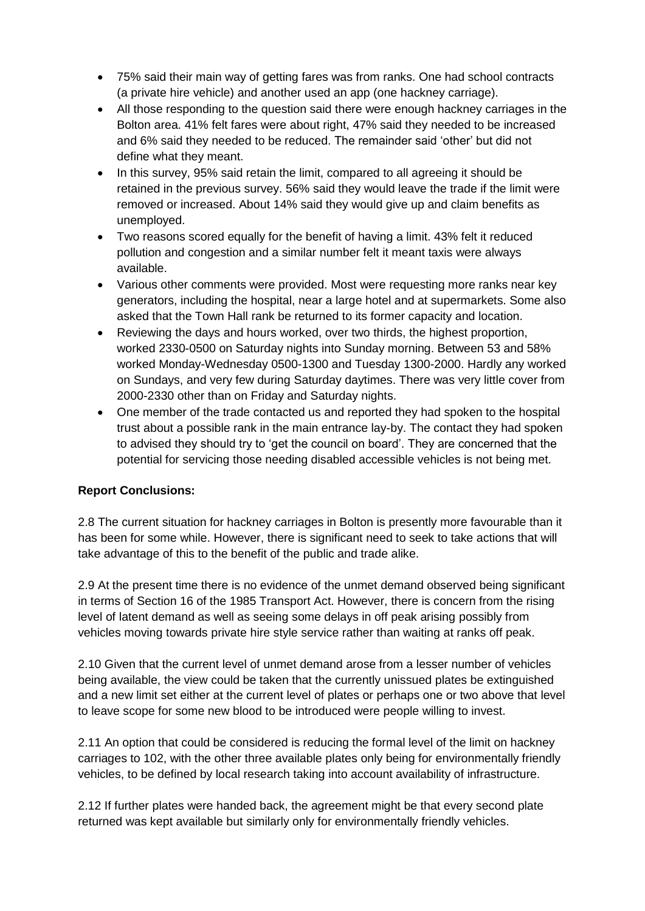- 75% said their main way of getting fares was from ranks. One had school contracts (a private hire vehicle) and another used an app (one hackney carriage).
- All those responding to the question said there were enough hackney carriages in the Bolton area. 41% felt fares were about right, 47% said they needed to be increased and 6% said they needed to be reduced. The remainder said 'other' but did not define what they meant.
- In this survey, 95% said retain the limit, compared to all agreeing it should be retained in the previous survey. 56% said they would leave the trade if the limit were removed or increased. About 14% said they would give up and claim benefits as unemployed.
- Two reasons scored equally for the benefit of having a limit. 43% felt it reduced pollution and congestion and a similar number felt it meant taxis were always available.
- Various other comments were provided. Most were requesting more ranks near key generators, including the hospital, near a large hotel and at supermarkets. Some also asked that the Town Hall rank be returned to its former capacity and location.
- Reviewing the days and hours worked, over two thirds, the highest proportion, worked 2330-0500 on Saturday nights into Sunday morning. Between 53 and 58% worked Monday-Wednesday 0500-1300 and Tuesday 1300-2000. Hardly any worked on Sundays, and very few during Saturday daytimes. There was very little cover from 2000-2330 other than on Friday and Saturday nights.
- One member of the trade contacted us and reported they had spoken to the hospital trust about a possible rank in the main entrance lay-by. The contact they had spoken to advised they should try to 'get the council on board'. They are concerned that the potential for servicing those needing disabled accessible vehicles is not being met.

# **Report Conclusions:**

2.8 The current situation for hackney carriages in Bolton is presently more favourable than it has been for some while. However, there is significant need to seek to take actions that will take advantage of this to the benefit of the public and trade alike.

2.9 At the present time there is no evidence of the unmet demand observed being significant in terms of Section 16 of the 1985 Transport Act. However, there is concern from the rising level of latent demand as well as seeing some delays in off peak arising possibly from vehicles moving towards private hire style service rather than waiting at ranks off peak.

2.10 Given that the current level of unmet demand arose from a lesser number of vehicles being available, the view could be taken that the currently unissued plates be extinguished and a new limit set either at the current level of plates or perhaps one or two above that level to leave scope for some new blood to be introduced were people willing to invest.

2.11 An option that could be considered is reducing the formal level of the limit on hackney carriages to 102, with the other three available plates only being for environmentally friendly vehicles, to be defined by local research taking into account availability of infrastructure.

2.12 If further plates were handed back, the agreement might be that every second plate returned was kept available but similarly only for environmentally friendly vehicles.